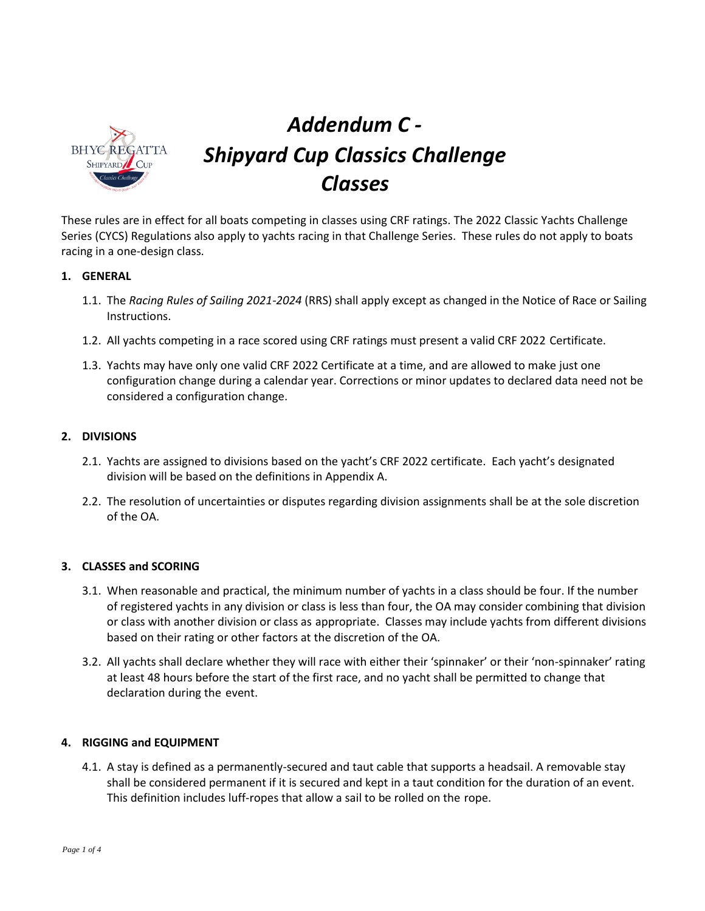

# *Addendum C - Shipyard Cup Classics Challenge Classes*

These rules are in effect for all boats competing in classes using CRF ratings. The 2022 Classic Yachts Challenge Series (CYCS) Regulations also apply to yachts racing in that Challenge Series. These rules do not apply to boats racing in a one-design class.

### **1. GENERAL**

- 1.1. The *Racing Rules of Sailing 2021-2024* (RRS) shall apply except as changed in the Notice of Race or Sailing Instructions.
- 1.2. All yachts competing in a race scored using CRF ratings must present a valid CRF 2022 Certificate.
- 1.3. Yachts may have only one valid CRF 2022 Certificate at a time, and are allowed to make just one configuration change during a calendar year. Corrections or minor updates to declared data need not be considered a configuration change.

## **2. DIVISIONS**

- 2.1. Yachts are assigned to divisions based on the yacht's CRF 2022 certificate. Each yacht's designated division will be based on the definitions in Appendix A.
- 2.2. The resolution of uncertainties or disputes regarding division assignments shall be at the sole discretion of the OA.

### **3. CLASSES and SCORING**

- 3.1. When reasonable and practical, the minimum number of yachts in a class should be four. If the number of registered yachts in any division or class is less than four, the OA may consider combining that division or class with another division or class as appropriate. Classes may include yachts from different divisions based on their rating or other factors at the discretion of the OA.
- 3.2. All yachts shall declare whether they will race with either their 'spinnaker' or their 'non-spinnaker' rating at least 48 hours before the start of the first race, and no yacht shall be permitted to change that declaration during the event.

### **4. RIGGING and EQUIPMENT**

4.1. A stay is defined as a permanently-secured and taut cable that supports a headsail. A removable stay shall be considered permanent if it is secured and kept in a taut condition for the duration of an event. This definition includes luff-ropes that allow a sail to be rolled on the rope.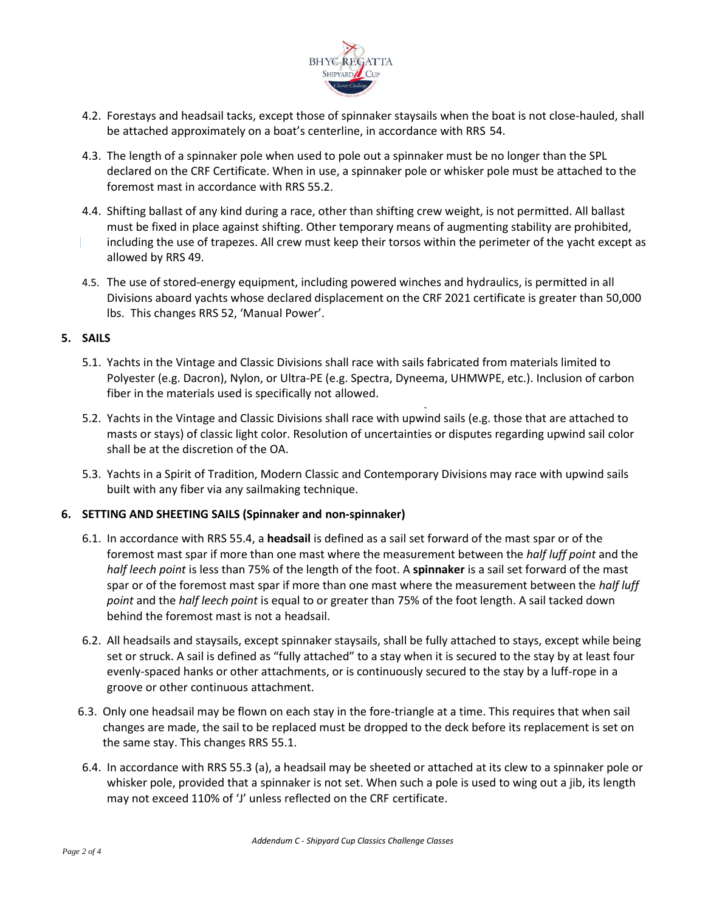

- 4.2. Forestays and headsail tacks, except those of spinnaker staysails when the boat is not close-hauled, shall be attached approximately on a boat's centerline, in accordance with RRS 54.
- 4.3. The length of a spinnaker pole when used to pole out a spinnaker must be no longer than the SPL declared on the CRF Certificate. When in use, a spinnaker pole or whisker pole must be attached to the foremost mast in accordance with RRS 55.2.
- 4.4. Shifting ballast of any kind during a race, other than shifting crew weight, is not permitted. All ballast must be fixed in place against shifting. Other temporary means of augmenting stability are prohibited, including the use of trapezes. All crew must keep their torsos within the perimeter of the yacht except as allowed by RRS 49.
- 4.5. The use of stored-energy equipment, including powered winches and hydraulics, is permitted in all Divisions aboard yachts whose declared displacement on the CRF 2021 certificate is greater than 50,000 lbs. This changes RRS 52, 'Manual Power'.

### **5. SAILS**

- 5.1. Yachts in the Vintage and Classic Divisions shall race with sails fabricated from materials limited to Polyester (e.g. Dacron), Nylon, or Ultra-PE (e.g. Spectra, Dyneema, UHMWPE, etc.). Inclusion of carbon fiber in the materials used is specifically not allowed.
- 5.2. Yachts in the Vintage and Classic Divisions shall race with upwind sails (e.g. those that are attached to masts or stays) of classic light color. Resolution of uncertainties or disputes regarding upwind sail color shall be at the discretion of the OA.
- 5.3. Yachts in a Spirit of Tradition, Modern Classic and Contemporary Divisions may race with upwind sails built with any fiber via any sailmaking technique.

### **6. SETTING AND SHEETING SAILS (Spinnaker and non-spinnaker)**

- 6.1. In accordance with RRS 55.4, a **headsail** is defined as a sail set forward of the mast spar or of the foremost mast spar if more than one mast where the measurement between the *half luff point* and the *half leech point* is less than 75% of the length of the foot. A **spinnaker** is a sail set forward of the mast spar or of the foremost mast spar if more than one mast where the measurement between the *half luff point* and the *half leech point* is equal to or greater than 75% of the foot length. A sail tacked down behind the foremost mast is not a headsail.
- 6.2. All headsails and staysails, except spinnaker staysails, shall be fully attached to stays, except while being set or struck. A sail is defined as "fully attached" to a stay when it is secured to the stay by at least four evenly-spaced hanks or other attachments, or is continuously secured to the stay by a luff-rope in a groove or other continuous attachment.
- 6.3. Only one headsail may be flown on each stay in the fore-triangle at a time. This requires that when sail changes are made, the sail to be replaced must be dropped to the deck before its replacement is set on the same stay. This changes RRS 55.1.
- 6.4. In accordance with RRS 55.3 (a), a headsail may be sheeted or attached at its clew to a spinnaker pole or whisker pole, provided that a spinnaker is not set. When such a pole is used to wing out a jib, its length may not exceed 110% of 'J' unless reflected on the CRF certificate.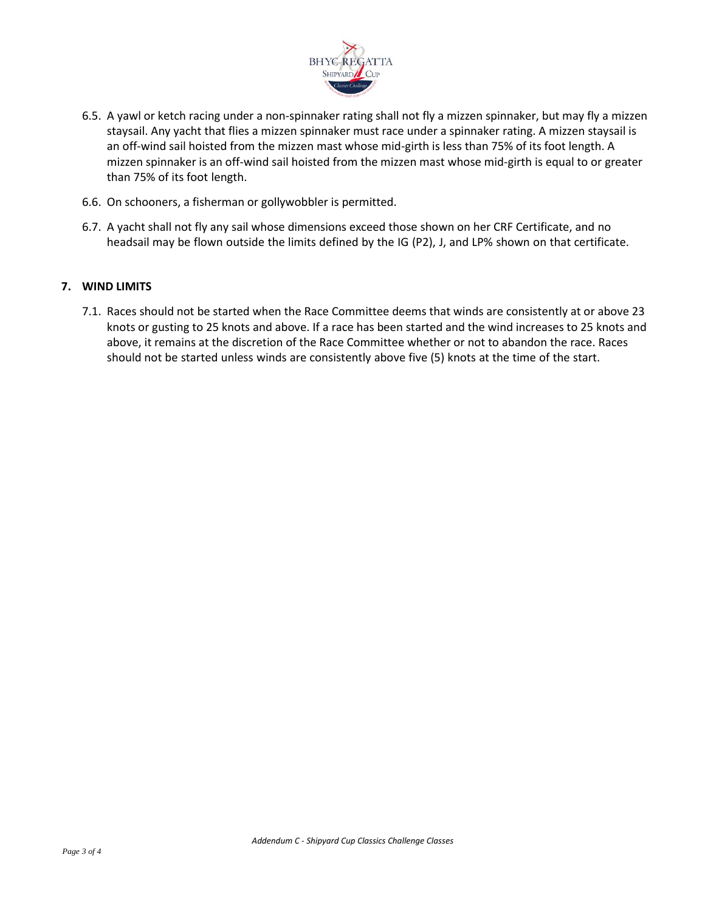

- 6.5. A yawl or ketch racing under a non-spinnaker rating shall not fly a mizzen spinnaker, but may fly a mizzen staysail. Any yacht that flies a mizzen spinnaker must race under a spinnaker rating. A mizzen staysail is an off-wind sail hoisted from the mizzen mast whose mid-girth is less than 75% of its foot length. A mizzen spinnaker is an off-wind sail hoisted from the mizzen mast whose mid-girth is equal to or greater than 75% of its foot length.
- 6.6. On schooners, a fisherman or gollywobbler is permitted.
- 6.7. A yacht shall not fly any sail whose dimensions exceed those shown on her CRF Certificate, and no headsail may be flown outside the limits defined by the IG (P2), J, and LP% shown on that certificate.

#### **7. WIND LIMITS**

7.1. Races should not be started when the Race Committee deems that winds are consistently at or above 23 knots or gusting to 25 knots and above. If a race has been started and the wind increases to 25 knots and above, it remains at the discretion of the Race Committee whether or not to abandon the race. Races should not be started unless winds are consistently above five (5) knots at the time of the start.